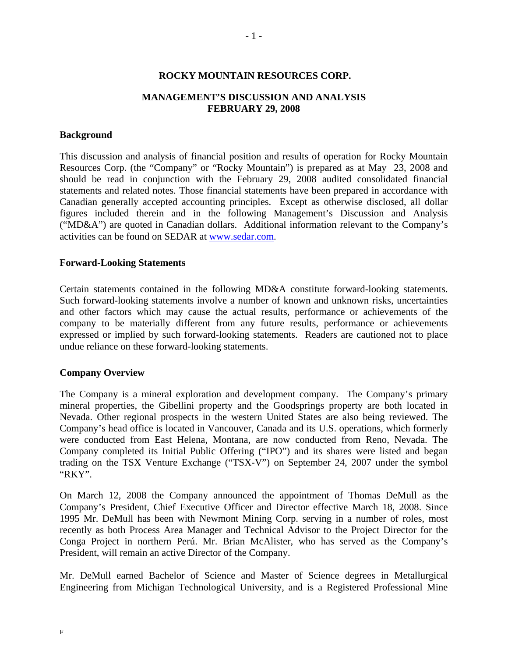### **ROCKY MOUNTAIN RESOURCES CORP.**

# **MANAGEMENT'S DISCUSSION AND ANALYSIS FEBRUARY 29, 2008**

### **Background**

This discussion and analysis of financial position and results of operation for Rocky Mountain Resources Corp. (the "Company" or "Rocky Mountain") is prepared as at May 23, 2008 and should be read in conjunction with the February 29, 2008 audited consolidated financial statements and related notes. Those financial statements have been prepared in accordance with Canadian generally accepted accounting principles. Except as otherwise disclosed, all dollar figures included therein and in the following Management's Discussion and Analysis ("MD&A") are quoted in Canadian dollars. Additional information relevant to the Company's activities can be found on SEDAR at www.sedar.com.

#### **Forward-Looking Statements**

Certain statements contained in the following MD&A constitute forward-looking statements. Such forward-looking statements involve a number of known and unknown risks, uncertainties and other factors which may cause the actual results, performance or achievements of the company to be materially different from any future results, performance or achievements expressed or implied by such forward-looking statements. Readers are cautioned not to place undue reliance on these forward-looking statements.

#### **Company Overview**

The Company is a mineral exploration and development company. The Company's primary mineral properties, the Gibellini property and the Goodsprings property are both located in Nevada. Other regional prospects in the western United States are also being reviewed. The Company's head office is located in Vancouver, Canada and its U.S. operations, which formerly were conducted from East Helena, Montana, are now conducted from Reno, Nevada. The Company completed its Initial Public Offering ("IPO") and its shares were listed and began trading on the TSX Venture Exchange ("TSX-V") on September 24, 2007 under the symbol "RKY".

On March 12, 2008 the Company announced the appointment of Thomas DeMull as the Company's President, Chief Executive Officer and Director effective March 18, 2008. Since 1995 Mr. DeMull has been with Newmont Mining Corp. serving in a number of roles, most recently as both Process Area Manager and Technical Advisor to the Project Director for the Conga Project in northern Perú. Mr. Brian McAlister, who has served as the Company's President, will remain an active Director of the Company.

Mr. DeMull earned Bachelor of Science and Master of Science degrees in Metallurgical Engineering from Michigan Technological University, and is a Registered Professional Mine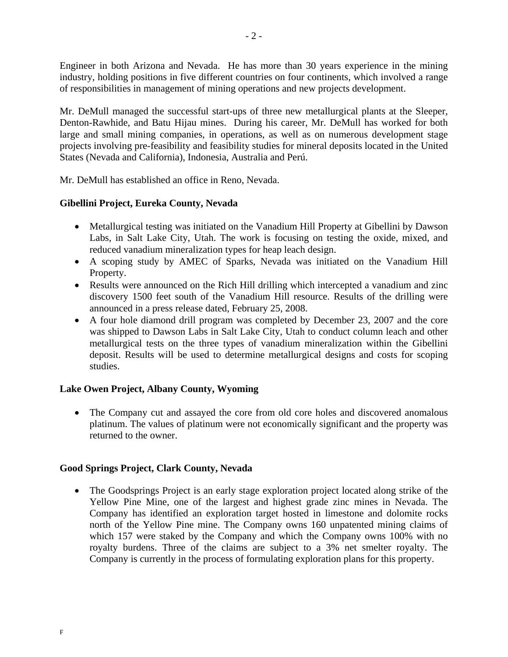Engineer in both Arizona and Nevada. He has more than 30 years experience in the mining industry, holding positions in five different countries on four continents, which involved a range of responsibilities in management of mining operations and new projects development.

Mr. DeMull managed the successful start-ups of three new metallurgical plants at the Sleeper, Denton-Rawhide, and Batu Hijau mines. During his career, Mr. DeMull has worked for both large and small mining companies, in operations, as well as on numerous development stage projects involving pre-feasibility and feasibility studies for mineral deposits located in the United States (Nevada and California), Indonesia, Australia and Perú.

Mr. DeMull has established an office in Reno, Nevada.

# **Gibellini Project, Eureka County, Nevada**

- Metallurgical testing was initiated on the Vanadium Hill Property at Gibellini by Dawson Labs, in Salt Lake City, Utah. The work is focusing on testing the oxide, mixed, and reduced vanadium mineralization types for heap leach design.
- A scoping study by AMEC of Sparks, Nevada was initiated on the Vanadium Hill Property.
- Results were announced on the Rich Hill drilling which intercepted a vanadium and zinc discovery 1500 feet south of the Vanadium Hill resource. Results of the drilling were announced in a press release dated, February 25, 2008.
- A four hole diamond drill program was completed by December 23, 2007 and the core was shipped to Dawson Labs in Salt Lake City, Utah to conduct column leach and other metallurgical tests on the three types of vanadium mineralization within the Gibellini deposit. Results will be used to determine metallurgical designs and costs for scoping studies.

# **Lake Owen Project, Albany County, Wyoming**

• The Company cut and assayed the core from old core holes and discovered anomalous platinum. The values of platinum were not economically significant and the property was returned to the owner.

# **Good Springs Project, Clark County, Nevada**

• The Goodsprings Project is an early stage exploration project located along strike of the Yellow Pine Mine, one of the largest and highest grade zinc mines in Nevada. The Company has identified an exploration target hosted in limestone and dolomite rocks north of the Yellow Pine mine. The Company owns 160 unpatented mining claims of which 157 were staked by the Company and which the Company owns 100% with no royalty burdens. Three of the claims are subject to a 3% net smelter royalty. The Company is currently in the process of formulating exploration plans for this property.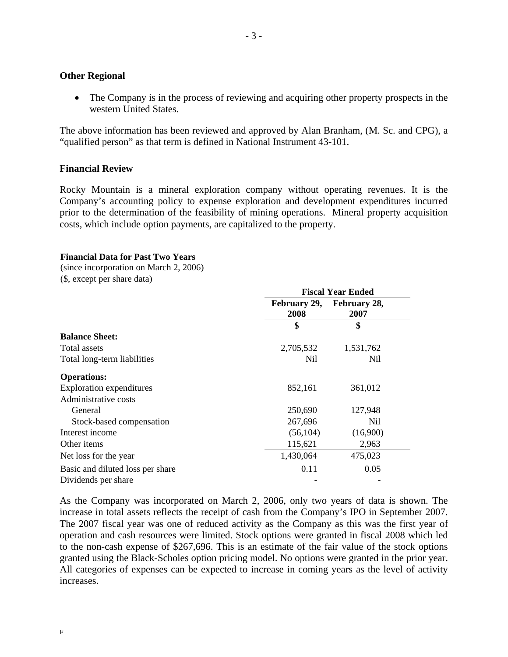### **Other Regional**

• The Company is in the process of reviewing and acquiring other property prospects in the western United States.

The above information has been reviewed and approved by Alan Branham, (M. Sc. and CPG), a "qualified person" as that term is defined in National Instrument 43-101.

# **Financial Review**

Rocky Mountain is a mineral exploration company without operating revenues. It is the Company's accounting policy to expense exploration and development expenditures incurred prior to the determination of the feasibility of mining operations. Mineral property acquisition costs, which include option payments, are capitalized to the property.

**Fiscal Year Ended** 

### **Financial Data for Past Two Years**

(since incorporation on March 2, 2006)

(\$, except per share data)

|                                  | FISCAL TEAT EIIUEU   |                      |  |  |
|----------------------------------|----------------------|----------------------|--|--|
|                                  | February 29,<br>2008 | February 28,<br>2007 |  |  |
|                                  | \$                   | \$                   |  |  |
| <b>Balance Sheet:</b>            |                      |                      |  |  |
| Total assets                     | 2,705,532            | 1,531,762            |  |  |
| Total long-term liabilities      | Nil                  | Nil                  |  |  |
| <b>Operations:</b>               |                      |                      |  |  |
| <b>Exploration expenditures</b>  | 852,161              | 361,012              |  |  |
| Administrative costs             |                      |                      |  |  |
| General                          | 250,690              | 127,948              |  |  |
| Stock-based compensation         | 267,696              | Nil.                 |  |  |
| Interest income                  | (56, 104)            | (16,900)             |  |  |
| Other items                      | 115,621              | 2,963                |  |  |
| Net loss for the year            | 1,430,064            | 475,023              |  |  |
| Basic and diluted loss per share | 0.11                 | 0.05                 |  |  |
| Dividends per share              |                      |                      |  |  |

As the Company was incorporated on March 2, 2006, only two years of data is shown. The increase in total assets reflects the receipt of cash from the Company's IPO in September 2007. The 2007 fiscal year was one of reduced activity as the Company as this was the first year of operation and cash resources were limited. Stock options were granted in fiscal 2008 which led to the non-cash expense of \$267,696. This is an estimate of the fair value of the stock options granted using the Black-Scholes option pricing model. No options were granted in the prior year. All categories of expenses can be expected to increase in coming years as the level of activity increases.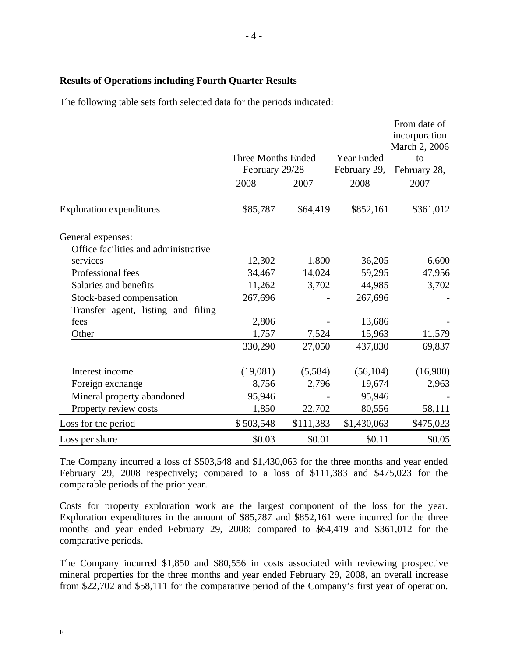# **Results of Operations including Fourth Quarter Results**

The following table sets forth selected data for the periods indicated:

|                                      | <b>Three Months Ended</b><br>February 29/28 |           | <b>Year Ended</b><br>February 29, | From date of<br>incorporation<br>March 2, 2006<br>to<br>February 28, |
|--------------------------------------|---------------------------------------------|-----------|-----------------------------------|----------------------------------------------------------------------|
|                                      | 2008                                        | 2007      | 2008                              | 2007                                                                 |
| <b>Exploration expenditures</b>      | \$85,787                                    | \$64,419  | \$852,161                         | \$361,012                                                            |
| General expenses:                    |                                             |           |                                   |                                                                      |
| Office facilities and administrative |                                             |           |                                   |                                                                      |
| services                             | 12,302                                      | 1,800     | 36,205                            | 6,600                                                                |
| Professional fees                    | 34,467                                      | 14,024    | 59,295                            | 47,956                                                               |
| Salaries and benefits                | 11,262                                      | 3,702     | 44,985                            | 3,702                                                                |
| Stock-based compensation             | 267,696                                     |           | 267,696                           |                                                                      |
| Transfer agent, listing and filing   |                                             |           |                                   |                                                                      |
| fees                                 | 2,806                                       |           | 13,686                            |                                                                      |
| Other                                | 1,757                                       | 7,524     | 15,963                            | 11,579                                                               |
|                                      | 330,290                                     | 27,050    | 437,830                           | 69,837                                                               |
| Interest income                      | (19,081)                                    | (5,584)   | (56, 104)                         | (16,900)                                                             |
| Foreign exchange                     | 8,756                                       | 2,796     | 19,674                            | 2,963                                                                |
| Mineral property abandoned           | 95,946                                      |           | 95,946                            |                                                                      |
| Property review costs                | 1,850                                       | 22,702    | 80,556                            | 58,111                                                               |
| Loss for the period                  | \$503,548                                   | \$111,383 | \$1,430,063                       | \$475,023                                                            |
| Loss per share                       | \$0.03                                      | \$0.01    | \$0.11                            | \$0.05                                                               |

The Company incurred a loss of \$503,548 and \$1,430,063 for the three months and year ended February 29, 2008 respectively; compared to a loss of \$111,383 and \$475,023 for the comparable periods of the prior year.

Costs for property exploration work are the largest component of the loss for the year. Exploration expenditures in the amount of \$85,787 and \$852,161 were incurred for the three months and year ended February 29, 2008; compared to \$64,419 and \$361,012 for the comparative periods.

The Company incurred \$1,850 and \$80,556 in costs associated with reviewing prospective mineral properties for the three months and year ended February 29, 2008, an overall increase from \$22,702 and \$58,111 for the comparative period of the Company's first year of operation.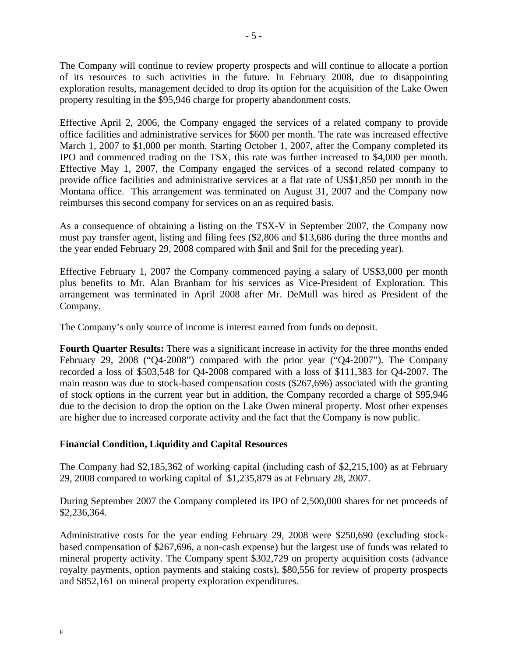The Company will continue to review property prospects and will continue to allocate a portion of its resources to such activities in the future. In February 2008, due to disappointing exploration results, management decided to drop its option for the acquisition of the Lake Owen property resulting in the \$95,946 charge for property abandonment costs.

Effective April 2, 2006, the Company engaged the services of a related company to provide office facilities and administrative services for \$600 per month. The rate was increased effective March 1, 2007 to \$1,000 per month. Starting October 1, 2007, after the Company completed its IPO and commenced trading on the TSX, this rate was further increased to \$4,000 per month. Effective May 1, 2007, the Company engaged the services of a second related company to provide office facilities and administrative services at a flat rate of US\$1,850 per month in the Montana office. This arrangement was terminated on August 31, 2007 and the Company now reimburses this second company for services on an as required basis.

As a consequence of obtaining a listing on the TSX-V in September 2007, the Company now must pay transfer agent, listing and filing fees (\$2,806 and \$13,686 during the three months and the year ended February 29, 2008 compared with \$nil and \$nil for the preceding year).

Effective February 1, 2007 the Company commenced paying a salary of US\$3,000 per month plus benefits to Mr. Alan Branham for his services as Vice-President of Exploration. This arrangement was terminated in April 2008 after Mr. DeMull was hired as President of the Company.

The Company's only source of income is interest earned from funds on deposit.

**Fourth Quarter Results:** There was a significant increase in activity for the three months ended February 29, 2008 ("Q4-2008") compared with the prior year ("Q4-2007"). The Company recorded a loss of \$503,548 for Q4-2008 compared with a loss of \$111,383 for Q4-2007. The main reason was due to stock-based compensation costs (\$267,696) associated with the granting of stock options in the current year but in addition, the Company recorded a charge of \$95,946 due to the decision to drop the option on the Lake Owen mineral property. Most other expenses are higher due to increased corporate activity and the fact that the Company is now public.

# **Financial Condition, Liquidity and Capital Resources**

The Company had \$2,185,362 of working capital (including cash of \$2,215,100) as at February 29, 2008 compared to working capital of \$1,235,879 as at February 28, 2007.

During September 2007 the Company completed its IPO of 2,500,000 shares for net proceeds of \$2,236,364.

Administrative costs for the year ending February 29, 2008 were \$250,690 (excluding stockbased compensation of \$267,696, a non-cash expense) but the largest use of funds was related to mineral property activity. The Company spent \$302,729 on property acquisition costs (advance royalty payments, option payments and staking costs), \$80,556 for review of property prospects and \$852,161 on mineral property exploration expenditures.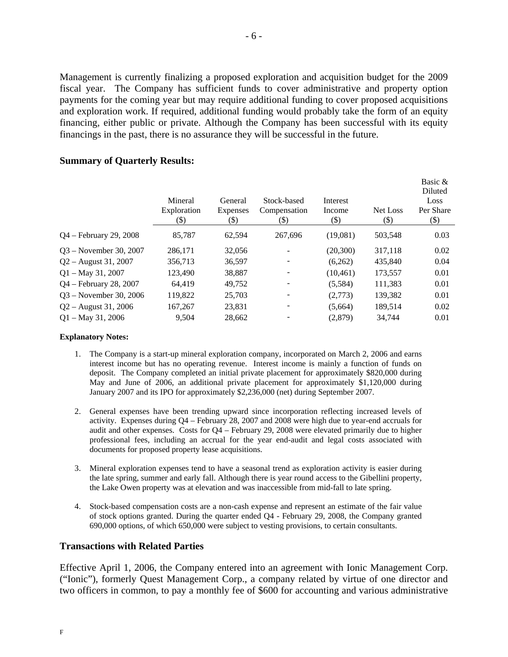Management is currently finalizing a proposed exploration and acquisition budget for the 2009 fiscal year. The Company has sufficient funds to cover administrative and property option payments for the coming year but may require additional funding to cover proposed acquisitions and exploration work. If required, additional funding would probably take the form of an equity financing, either public or private. Although the Company has been successful with its equity financings in the past, there is no assurance they will be successful in the future.

|                           | Mineral<br>Exploration | General<br><b>Expenses</b> | Stock-based<br>Compensation | Interest<br>Income | Net Loss | Basic &<br>Diluted<br>Loss<br>Per Share |
|---------------------------|------------------------|----------------------------|-----------------------------|--------------------|----------|-----------------------------------------|
|                           | (\$)                   | (\$)                       | (\$)                        | (\$)               | (\$)     | $(\$)$                                  |
| $Q4 - February\ 29, 2008$ | 85,787                 | 62.594                     | 267,696                     | (19,081)           | 503,548  | 0.03                                    |
| $Q3 - November 30, 2007$  | 286,171                | 32,056                     |                             | (20,300)           | 317,118  | 0.02                                    |
| $Q2 -$ August 31, 2007    | 356,713                | 36,597                     | -                           | (6,262)            | 435,840  | 0.04                                    |
| $Q1 - May 31, 2007$       | 123,490                | 38,887                     |                             | (10, 461)          | 173,557  | 0.01                                    |
| $Q4$ – February 28, 2007  | 64.419                 | 49,752                     | $\overline{\phantom{a}}$    | (5,584)            | 111,383  | 0.01                                    |
| 03 – November 30, 2006    | 119,822                | 25,703                     | $\overline{\phantom{m}}$    | (2,773)            | 139,382  | 0.01                                    |
| $Q2 -$ August 31, 2006    | 167,267                | 23,831                     |                             | (5,664)            | 189,514  | 0.02                                    |
| $Q1 - May 31, 2006$       | 9.504                  | 28,662                     |                             | (2,879)            | 34.744   | 0.01                                    |

## **Summary of Quarterly Results:**

#### **Explanatory Notes:**

- 1. The Company is a start-up mineral exploration company, incorporated on March 2, 2006 and earns interest income but has no operating revenue. Interest income is mainly a function of funds on deposit. The Company completed an initial private placement for approximately \$820,000 during May and June of 2006, an additional private placement for approximately \$1,120,000 during January 2007 and its IPO for approximately \$2,236,000 (net) during September 2007.
- 2. General expenses have been trending upward since incorporation reflecting increased levels of activity. Expenses during Q4 – February 28, 2007 and 2008 were high due to year-end accruals for audit and other expenses. Costs for Q4 – February 29, 2008 were elevated primarily due to higher professional fees, including an accrual for the year end-audit and legal costs associated with documents for proposed property lease acquisitions.
- 3. Mineral exploration expenses tend to have a seasonal trend as exploration activity is easier during the late spring, summer and early fall. Although there is year round access to the Gibellini property, the Lake Owen property was at elevation and was inaccessible from mid-fall to late spring.
- 4. Stock-based compensation costs are a non-cash expense and represent an estimate of the fair value of stock options granted. During the quarter ended Q4 - February 29, 2008, the Company granted 690,000 options, of which 650,000 were subject to vesting provisions, to certain consultants.

### **Transactions with Related Parties**

Effective April 1, 2006, the Company entered into an agreement with Ionic Management Corp. ("Ionic"), formerly Quest Management Corp., a company related by virtue of one director and two officers in common, to pay a monthly fee of \$600 for accounting and various administrative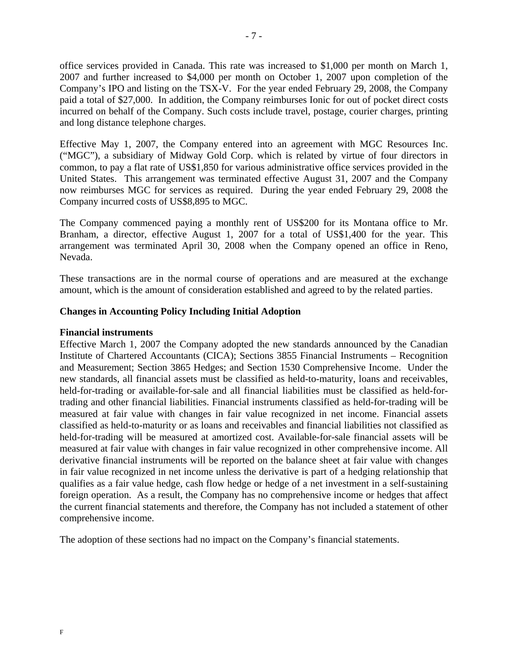office services provided in Canada. This rate was increased to \$1,000 per month on March 1, 2007 and further increased to \$4,000 per month on October 1, 2007 upon completion of the Company's IPO and listing on the TSX-V. For the year ended February 29, 2008, the Company paid a total of \$27,000. In addition, the Company reimburses Ionic for out of pocket direct costs incurred on behalf of the Company. Such costs include travel, postage, courier charges, printing and long distance telephone charges.

Effective May 1, 2007, the Company entered into an agreement with MGC Resources Inc. ("MGC"), a subsidiary of Midway Gold Corp. which is related by virtue of four directors in common, to pay a flat rate of US\$1,850 for various administrative office services provided in the United States. This arrangement was terminated effective August 31, 2007 and the Company now reimburses MGC for services as required. During the year ended February 29, 2008 the Company incurred costs of US\$8,895 to MGC.

The Company commenced paying a monthly rent of US\$200 for its Montana office to Mr. Branham, a director, effective August 1, 2007 for a total of US\$1,400 for the year. This arrangement was terminated April 30, 2008 when the Company opened an office in Reno, Nevada.

These transactions are in the normal course of operations and are measured at the exchange amount, which is the amount of consideration established and agreed to by the related parties.

# **Changes in Accounting Policy Including Initial Adoption**

### **Financial instruments**

Effective March 1, 2007 the Company adopted the new standards announced by the Canadian Institute of Chartered Accountants (CICA); Sections 3855 Financial Instruments – Recognition and Measurement; Section 3865 Hedges; and Section 1530 Comprehensive Income. Under the new standards, all financial assets must be classified as held-to-maturity, loans and receivables, held-for-trading or available-for-sale and all financial liabilities must be classified as held-fortrading and other financial liabilities. Financial instruments classified as held-for-trading will be measured at fair value with changes in fair value recognized in net income. Financial assets classified as held-to-maturity or as loans and receivables and financial liabilities not classified as held-for-trading will be measured at amortized cost. Available-for-sale financial assets will be measured at fair value with changes in fair value recognized in other comprehensive income. All derivative financial instruments will be reported on the balance sheet at fair value with changes in fair value recognized in net income unless the derivative is part of a hedging relationship that qualifies as a fair value hedge, cash flow hedge or hedge of a net investment in a self-sustaining foreign operation. As a result, the Company has no comprehensive income or hedges that affect the current financial statements and therefore, the Company has not included a statement of other comprehensive income.

The adoption of these sections had no impact on the Company's financial statements.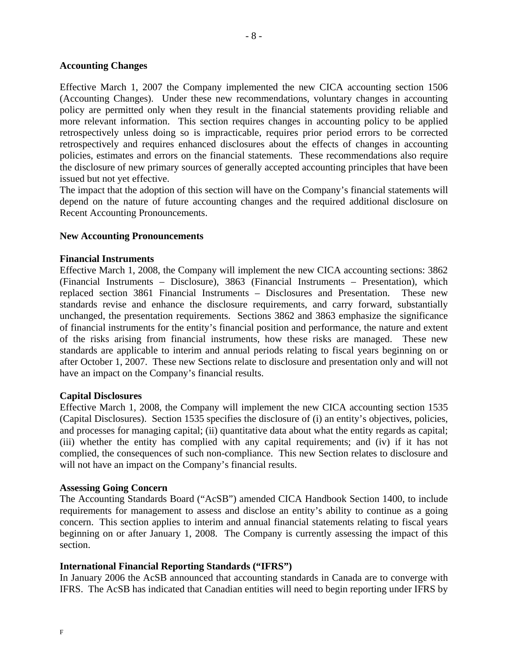# **Accounting Changes**

Effective March 1, 2007 the Company implemented the new CICA accounting section 1506 (Accounting Changes). Under these new recommendations, voluntary changes in accounting policy are permitted only when they result in the financial statements providing reliable and more relevant information. This section requires changes in accounting policy to be applied retrospectively unless doing so is impracticable, requires prior period errors to be corrected retrospectively and requires enhanced disclosures about the effects of changes in accounting policies, estimates and errors on the financial statements. These recommendations also require the disclosure of new primary sources of generally accepted accounting principles that have been issued but not yet effective.

The impact that the adoption of this section will have on the Company's financial statements will depend on the nature of future accounting changes and the required additional disclosure on Recent Accounting Pronouncements.

## **New Accounting Pronouncements**

## **Financial Instruments**

Effective March 1, 2008, the Company will implement the new CICA accounting sections: 3862 (Financial Instruments – Disclosure), 3863 (Financial Instruments – Presentation), which replaced section 3861 Financial Instruments – Disclosures and Presentation. These new standards revise and enhance the disclosure requirements, and carry forward, substantially unchanged, the presentation requirements. Sections 3862 and 3863 emphasize the significance of financial instruments for the entity's financial position and performance, the nature and extent of the risks arising from financial instruments, how these risks are managed. These new standards are applicable to interim and annual periods relating to fiscal years beginning on or after October 1, 2007. These new Sections relate to disclosure and presentation only and will not have an impact on the Company's financial results.

### **Capital Disclosures**

Effective March 1, 2008, the Company will implement the new CICA accounting section 1535 (Capital Disclosures). Section 1535 specifies the disclosure of (i) an entity's objectives, policies, and processes for managing capital; (ii) quantitative data about what the entity regards as capital; (iii) whether the entity has complied with any capital requirements; and (iv) if it has not complied, the consequences of such non-compliance. This new Section relates to disclosure and will not have an impact on the Company's financial results.

### **Assessing Going Concern**

The Accounting Standards Board ("AcSB") amended CICA Handbook Section 1400, to include requirements for management to assess and disclose an entity's ability to continue as a going concern. This section applies to interim and annual financial statements relating to fiscal years beginning on or after January 1, 2008. The Company is currently assessing the impact of this section.

# **International Financial Reporting Standards ("IFRS")**

In January 2006 the AcSB announced that accounting standards in Canada are to converge with IFRS. The AcSB has indicated that Canadian entities will need to begin reporting under IFRS by